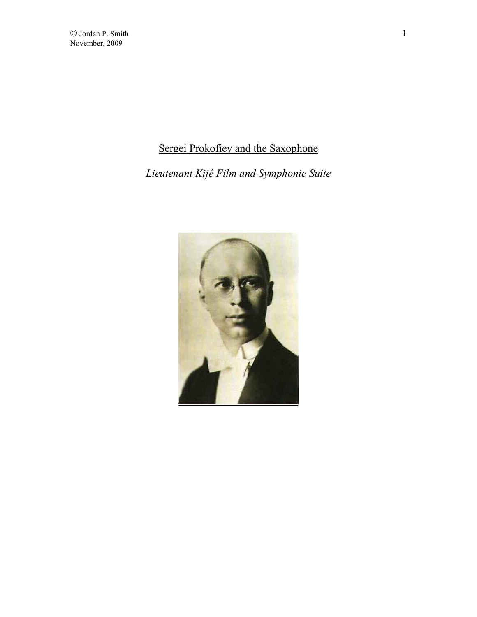## Sergei Prokofiev and the Saxophone

*Lieutenant Kijé Film and Symphonic Suite* 

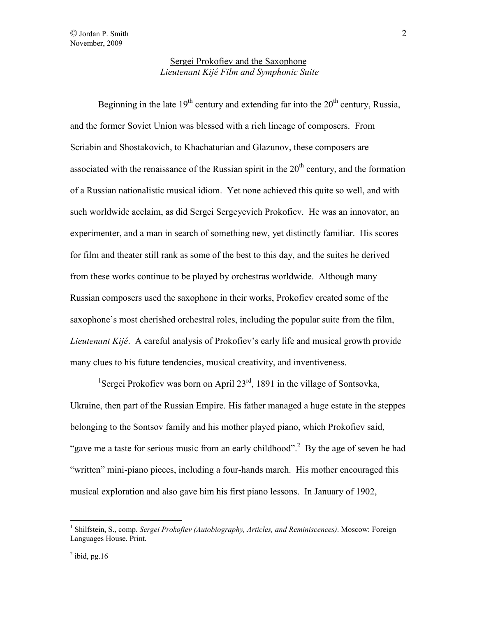Beginning in the late  $19<sup>th</sup>$  century and extending far into the  $20<sup>th</sup>$  century, Russia, and the former Soviet Union was blessed with a rich lineage of composers. From Scriabin and Shostakovich, to Khachaturian and Glazunov, these composers are associated with the renaissance of the Russian spirit in the  $20<sup>th</sup>$  century, and the formation of a Russian nationalistic musical idiom. Yet none achieved this quite so well, and with such worldwide acclaim, as did Sergei Sergeyevich Prokofiev. He was an innovator, an experimenter, and a man in search of something new, yet distinctly familiar. His scores for film and theater still rank as some of the best to this day, and the suites he derived from these works continue to be played by orchestras worldwide. Although many Russian composers used the saxophone in their works, Prokofiev created some of the saxophone's most cherished orchestral roles, including the popular suite from the film, *Lieutenant Kijé*. A careful analysis of Prokofiev's early life and musical growth provide many clues to his future tendencies, musical creativity, and inventiveness.

<sup>1</sup>Sergei Prokofiev was born on April 23<sup>rd</sup>, 1891 in the village of Sontsovka, Ukraine, then part of the Russian Empire. His father managed a huge estate in the steppes belonging to the Sontsov family and his mother played piano, which Prokofiev said, "gave me a taste for serious music from an early childhood".<sup>2</sup> By the age of seven he had "written" mini-piano pieces, including a four-hands march. His mother encouraged this musical exploration and also gave him his first piano lessons. In January of 1902,

<sup>&</sup>lt;sup>1</sup> Shilfstein, S., comp. *Sergei Prokofiev (Autobiography, Articles, and Reminiscences)*. Moscow: Foreign Languages House. Print.

 $<sup>2</sup>$  ibid, pg.16</sup>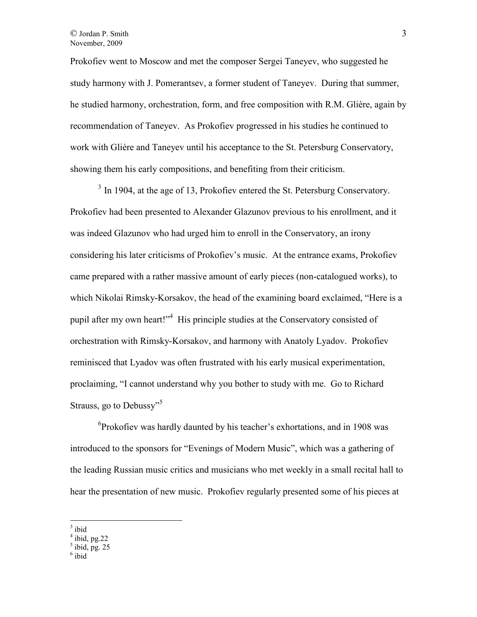Prokofiev went to Moscow and met the composer Sergei Taneyev, who suggested he study harmony with J. Pomerantsev, a former student of Taneyev. During that summer, he studied harmony, orchestration, form, and free composition with R.M. Glière, again by recommendation of Taneyev. As Prokofiev progressed in his studies he continued to work with Glière and Taneyev until his acceptance to the St. Petersburg Conservatory, showing them his early compositions, and benefiting from their criticism.

<sup>3</sup> In 1904, at the age of 13, Prokofiev entered the St. Petersburg Conservatory. Prokofiev had been presented to Alexander Glazunov previous to his enrollment, and it was indeed Glazunov who had urged him to enroll in the Conservatory, an irony considering his later criticisms of Prokofiev's music. At the entrance exams, Prokofiev came prepared with a rather massive amount of early pieces (non-catalogued works), to which Nikolai Rimsky-Korsakov, the head of the examining board exclaimed, "Here is a pupil after my own heart!"<sup>4</sup> His principle studies at the Conservatory consisted of orchestration with Rimsky-Korsakov, and harmony with Anatoly Lyadov. Prokofiev reminisced that Lyadov was often frustrated with his early musical experimentation, proclaiming, "I cannot understand why you bother to study with me. Go to Richard Strauss, go to Debussy"<sup>5</sup>

6 Prokofiev was hardly daunted by his teacher's exhortations, and in 1908 was introduced to the sponsors for "Evenings of Modern Music", which was a gathering of the leading Russian music critics and musicians who met weekly in a small recital hall to hear the presentation of new music. Prokofiev regularly presented some of his pieces at

 $\overline{a}$  $3$  ibid

 $<sup>4</sup>$  ibid, pg. 22</sup>

 $<sup>5</sup>$  ibid, pg. 25</sup>

<sup>6</sup> ibid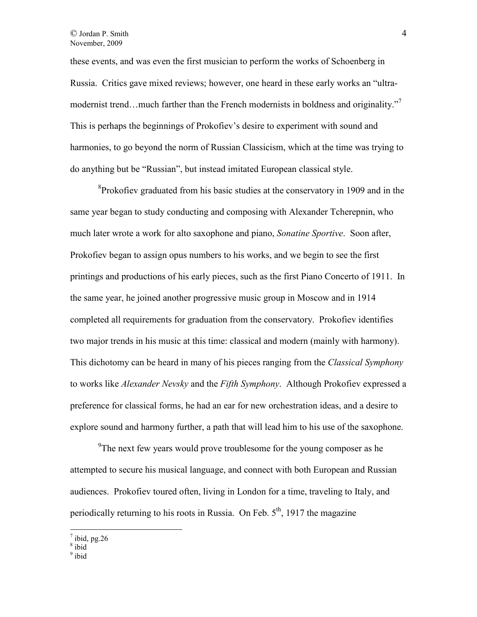these events, and was even the first musician to perform the works of Schoenberg in Russia. Critics gave mixed reviews; however, one heard in these early works an "ultramodernist trend...much farther than the French modernists in boldness and originality."<sup>7</sup> This is perhaps the beginnings of Prokofiev's desire to experiment with sound and harmonies, to go beyond the norm of Russian Classicism, which at the time was trying to do anything but be "Russian", but instead imitated European classical style.

<sup>8</sup>Prokofiev graduated from his basic studies at the conservatory in 1909 and in the same year began to study conducting and composing with Alexander Tcherepnin, who much later wrote a work for alto saxophone and piano, *Sonatine Sportive*. Soon after, Prokofiev began to assign opus numbers to his works, and we begin to see the first printings and productions of his early pieces, such as the first Piano Concerto of 1911. In the same year, he joined another progressive music group in Moscow and in 1914 completed all requirements for graduation from the conservatory. Prokofiev identifies two major trends in his music at this time: classical and modern (mainly with harmony). This dichotomy can be heard in many of his pieces ranging from the *Classical Symphony* to works like *Alexander Nevsky* and the *Fifth Symphony*. Although Prokofiev expressed a preference for classical forms, he had an ear for new orchestration ideas, and a desire to explore sound and harmony further, a path that will lead him to his use of the saxophone.

<sup>9</sup>The next few years would prove troublesome for the young composer as he attempted to secure his musical language, and connect with both European and Russian audiences. Prokofiev toured often, living in London for a time, traveling to Italy, and periodically returning to his roots in Russia. On Feb.  $5<sup>th</sup>$ , 1917 the magazine

 $\frac{7}{8}$  ibid, pg.26

<sup>&</sup>lt;sup>9</sup> ibid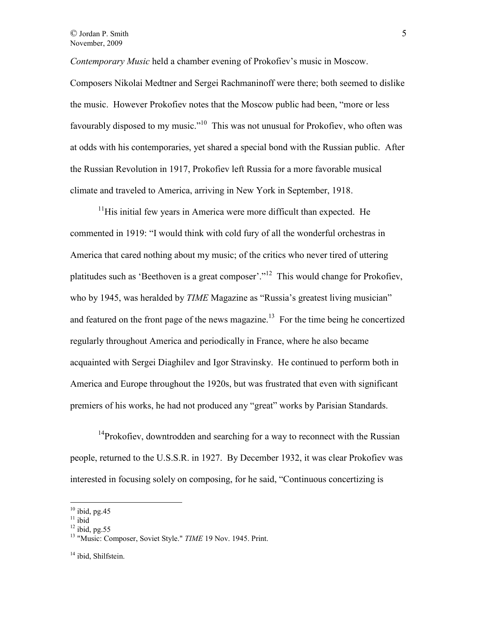*Contemporary Music* held a chamber evening of Prokofiev's music in Moscow.

Composers Nikolai Medtner and Sergei Rachmaninoff were there; both seemed to dislike the music. However Prokofiev notes that the Moscow public had been, "more or less favourably disposed to my music."<sup>10</sup> This was not unusual for Prokofiev, who often was at odds with his contemporaries, yet shared a special bond with the Russian public. After the Russian Revolution in 1917, Prokofiev left Russia for a more favorable musical climate and traveled to America, arriving in New York in September, 1918.

 $11$ His initial few years in America were more difficult than expected. He commented in 1919: "I would think with cold fury of all the wonderful orchestras in America that cared nothing about my music; of the critics who never tired of uttering platitudes such as 'Beethoven is a great composer'."<sup>12</sup> This would change for Prokofiev, who by 1945, was heralded by *TIME* Magazine as "Russia's greatest living musician" and featured on the front page of the news magazine.<sup>13</sup> For the time being he concertized regularly throughout America and periodically in France, where he also became acquainted with Sergei Diaghilev and Igor Stravinsky. He continued to perform both in America and Europe throughout the 1920s, but was frustrated that even with significant premiers of his works, he had not produced any "great" works by Parisian Standards.

<sup>14</sup>Prokofiev, downtrodden and searching for a way to reconnect with the Russian people, returned to the U.S.S.R. in 1927. By December 1932, it was clear Prokofiev was interested in focusing solely on composing, for he said, "Continuous concertizing is

 $10$  ibid, pg.45

 $11$  ibid

 $12$  ibid, pg.55

<sup>&</sup>lt;sup>13</sup> "Music: Composer, Soviet Style." *TIME* 19 Nov. 1945. Print.

<sup>&</sup>lt;sup>14</sup> ibid, Shilfstein.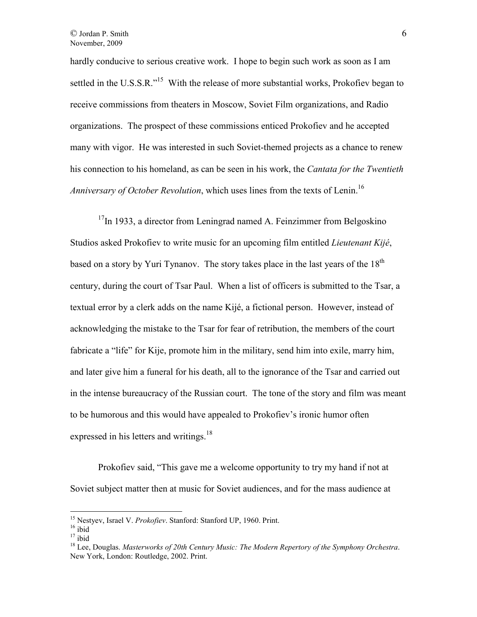hardly conducive to serious creative work. I hope to begin such work as soon as I am settled in the U.S.S.R."<sup>15</sup> With the release of more substantial works, Prokofiev began to receive commissions from theaters in Moscow, Soviet Film organizations, and Radio organizations. The prospect of these commissions enticed Prokofiev and he accepted many with vigor. He was interested in such Soviet-themed projects as a chance to renew his connection to his homeland, as can be seen in his work, the *Cantata for the Twentieth Anniversary of October Revolution*, which uses lines from the texts of Lenin.<sup>16</sup>

 $17$ In 1933, a director from Leningrad named A. Feinzimmer from Belgoskino Studios asked Prokofiev to write music for an upcoming film entitled *Lieutenant Kijé*, based on a story by Yuri Tynanov. The story takes place in the last years of the  $18<sup>th</sup>$ century, during the court of Tsar Paul. When a list of officers is submitted to the Tsar, a textual error by a clerk adds on the name Kijé, a fictional person. However, instead of acknowledging the mistake to the Tsar for fear of retribution, the members of the court fabricate a "life" for Kije, promote him in the military, send him into exile, marry him, and later give him a funeral for his death, all to the ignorance of the Tsar and carried out in the intense bureaucracy of the Russian court. The tone of the story and film was meant to be humorous and this would have appealed to Prokofiev's ironic humor often expressed in his letters and writings.<sup>18</sup>

Prokofiev said, "This gave me a welcome opportunity to try my hand if not at Soviet subject matter then at music for Soviet audiences, and for the mass audience at

<sup>15</sup> Nestyev, Israel V. *Prokofiev*. Stanford: Stanford UP, 1960. Print.

 $16$  ibid

 $17$  ibid

<sup>18</sup> Lee, Douglas. *Masterworks of 20th Century Music: The Modern Repertory of the Symphony Orchestra*. New York, London: Routledge, 2002. Print.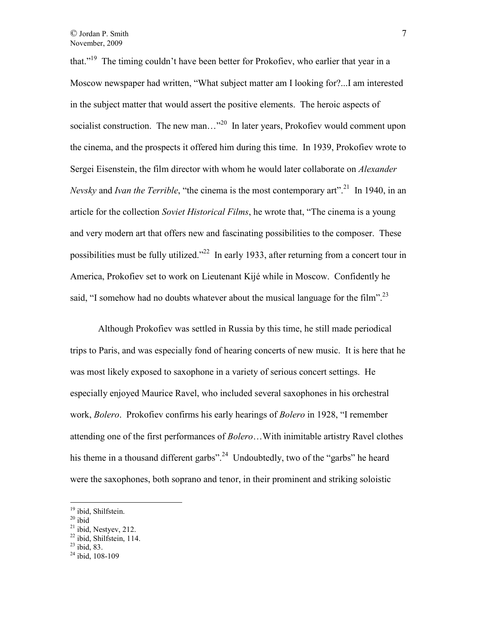that."<sup>19</sup> The timing couldn't have been better for Prokofiev, who earlier that year in a Moscow newspaper had written, "What subject matter am I looking for?...I am interested in the subject matter that would assert the positive elements. The heroic aspects of socialist construction. The new man..."<sup>20</sup> In later years, Prokofiev would comment upon the cinema, and the prospects it offered him during this time. In 1939, Prokofiev wrote to Sergei Eisenstein, the film director with whom he would later collaborate on *Alexander Nevsky* and *Ivan the Terrible*, "the cinema is the most contemporary art".<sup>21</sup> In 1940, in an article for the collection *Soviet Historical Films*, he wrote that, "The cinema is a young and very modern art that offers new and fascinating possibilities to the composer. These possibilities must be fully utilized."<sup>22</sup> In early 1933, after returning from a concert tour in America, Prokofiev set to work on Lieutenant Kijé while in Moscow. Confidently he said, "I somehow had no doubts whatever about the musical language for the film".<sup>23</sup>

 Although Prokofiev was settled in Russia by this time, he still made periodical trips to Paris, and was especially fond of hearing concerts of new music. It is here that he was most likely exposed to saxophone in a variety of serious concert settings. He especially enjoyed Maurice Ravel, who included several saxophones in his orchestral work, *Bolero*. Prokofiev confirms his early hearings of *Bolero* in 1928, "I remember attending one of the first performances of *Bolero*…With inimitable artistry Ravel clothes his theme in a thousand different garbs".<sup>24</sup> Undoubtedly, two of the "garbs" he heard were the saxophones, both soprano and tenor, in their prominent and striking soloistic

 $20$  ibid

 $\overline{a}$ 

 $^{23}$  ibid, 83.

<sup>&</sup>lt;sup>19</sup> ibid, Shilfstein.

 $21$  ibid, Nestyev, 212.

 $22$  ibid, Shilfstein, 114.

 $^{24}$  ibid, 108-109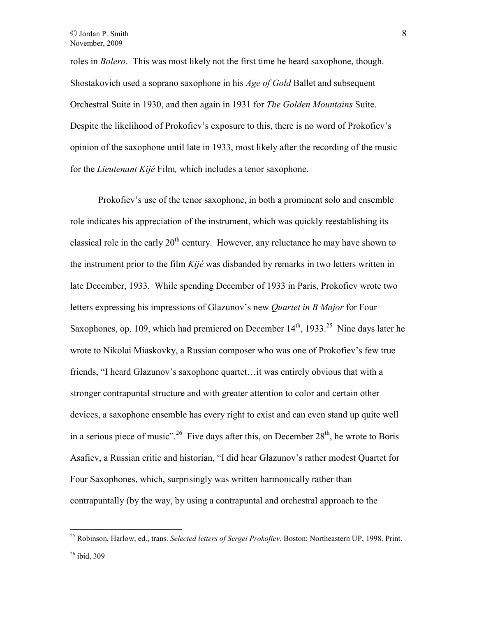roles in *Bolero*. This was most likely not the first time he heard saxophone, though. Shostakovich used a soprano saxophone in his *Age of Gold* Ballet and subsequent Orchestral Suite in 1930, and then again in 1931 for *The Golden Mountains* Suite. Despite the likelihood of Prokofiev's exposure to this, there is no word of Prokofiev's opinion of the saxophone until late in 1933, most likely after the recording of the music for the *Lieutenant Kijé* Film*,* which includes a tenor saxophone.

 Prokofiev's use of the tenor saxophone, in both a prominent solo and ensemble role indicates his appreciation of the instrument, which was quickly reestablishing its classical role in the early  $20<sup>th</sup>$  century. However, any reluctance he may have shown to the instrument prior to the film *Kijé* was disbanded by remarks in two letters written in late December, 1933. While spending December of 1933 in Paris, Prokofiev wrote two letters expressing his impressions of Glazunov's new *Quartet in B Major* for Four Saxophones, op. 109, which had premiered on December  $14<sup>th</sup>$ , 1933.<sup>25</sup> Nine days later he wrote to Nikolai Miaskovky, a Russian composer who was one of Prokofiev's few true friends, "I heard Glazunov's saxophone quartet…it was entirely obvious that with a stronger contrapuntal structure and with greater attention to color and certain other devices, a saxophone ensemble has every right to exist and can even stand up quite well in a serious piece of music".<sup>26</sup> Five days after this, on December  $28<sup>th</sup>$ , he wrote to Boris Asafiev, a Russian critic and historian, "I did hear Glazunov's rather modest Quartet for Four Saxophones, which, surprisingly was written harmonically rather than contrapuntally (by the way, by using a contrapuntal and orchestral approach to the

<sup>25</sup> Robinson, Harlow, ed., trans. *Selected letters of Sergei Prokofiev*. Boston: Northeastern UP, 1998. Print.

 $26$  ibid, 309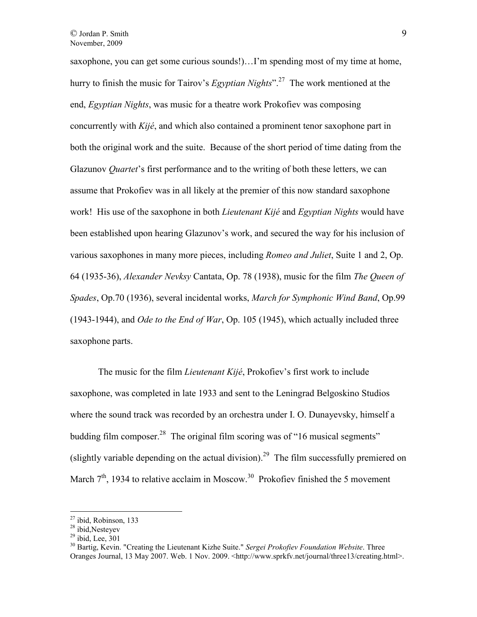saxophone, you can get some curious sounds!)…I'm spending most of my time at home, hurry to finish the music for Tairov's *Egyptian Nights*".<sup>27</sup> The work mentioned at the end, *Egyptian Nights*, was music for a theatre work Prokofiev was composing concurrently with *Kijé*, and which also contained a prominent tenor saxophone part in both the original work and the suite. Because of the short period of time dating from the Glazunov *Quartet*'s first performance and to the writing of both these letters, we can assume that Prokofiev was in all likely at the premier of this now standard saxophone work! His use of the saxophone in both *Lieutenant Kijé* and *Egyptian Nights* would have been established upon hearing Glazunov's work, and secured the way for his inclusion of various saxophones in many more pieces, including *Romeo and Juliet*, Suite 1 and 2, Op. 64 (1935-36), *Alexander Nevksy* Cantata, Op. 78 (1938), music for the film *The Queen of Spades*, Op.70 (1936), several incidental works, *March for Symphonic Wind Band*, Op.99 (1943-1944), and *Ode to the End of War*, Op. 105 (1945), which actually included three saxophone parts.

 The music for the film *Lieutenant Kijé*, Prokofiev's first work to include saxophone, was completed in late 1933 and sent to the Leningrad Belgoskino Studios where the sound track was recorded by an orchestra under I. O. Dunayevsky, himself a budding film composer.<sup>28</sup> The original film scoring was of "16 musical segments" (slightly variable depending on the actual division).<sup>29</sup> The film successfully premiered on March  $7<sup>th</sup>$ , 1934 to relative acclaim in Moscow.<sup>30</sup> Prokofiev finished the 5 movement

 $27$  ibid, Robinson, 133

<sup>28</sup> ibid,Nesteyev

 $29$  ibid, Lee,  $301$ 

<sup>30</sup> Bartig, Kevin. "Creating the Lieutenant Kizhe Suite." *Sergei Prokofiev Foundation Website*. Three Oranges Journal, 13 May 2007. Web. 1 Nov. 2009. <http://www.sprkfv.net/journal/three13/creating.html>.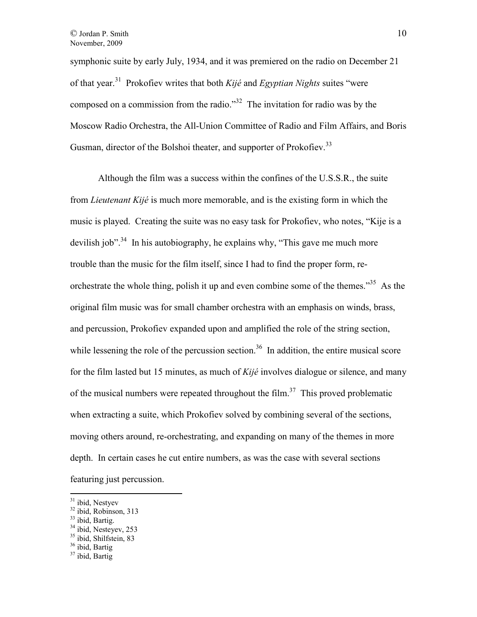symphonic suite by early July, 1934, and it was premiered on the radio on December 21 of that year.<sup>31</sup> Prokofiev writes that both *Kijé* and *Egyptian Nights* suites "were composed on a commission from the radio."<sup>32</sup> The invitation for radio was by the Moscow Radio Orchestra, the All-Union Committee of Radio and Film Affairs, and Boris Gusman, director of the Bolshoi theater, and supporter of Prokofiev.<sup>33</sup>

 Although the film was a success within the confines of the U.S.S.R., the suite from *Lieutenant Kijé* is much more memorable, and is the existing form in which the music is played. Creating the suite was no easy task for Prokofiev, who notes, "Kije is a devilish job".<sup>34</sup> In his autobiography, he explains why, "This gave me much more trouble than the music for the film itself, since I had to find the proper form, reorchestrate the whole thing, polish it up and even combine some of the themes.<sup>35</sup> As the original film music was for small chamber orchestra with an emphasis on winds, brass, and percussion, Prokofiev expanded upon and amplified the role of the string section, while lessening the role of the percussion section.<sup>36</sup> In addition, the entire musical score for the film lasted but 15 minutes, as much of *Kijé* involves dialogue or silence, and many of the musical numbers were repeated throughout the film.<sup>37</sup> This proved problematic when extracting a suite, which Prokofiev solved by combining several of the sections, moving others around, re-orchestrating, and expanding on many of the themes in more depth. In certain cases he cut entire numbers, as was the case with several sections featuring just percussion.

<sup>&</sup>lt;sup>31</sup> ibid, Nestyev

<sup>&</sup>lt;sup>32</sup> ibid, Robinson, 313

 $33$  ibid, Bartig.

<sup>&</sup>lt;sup>34</sup> ibid, Nesteyev, 253

<sup>&</sup>lt;sup>35</sup> ibid, Shilfstein, 83

<sup>&</sup>lt;sup>36</sup> ibid, Bartig

<sup>&</sup>lt;sup>37</sup> ibid, Bartig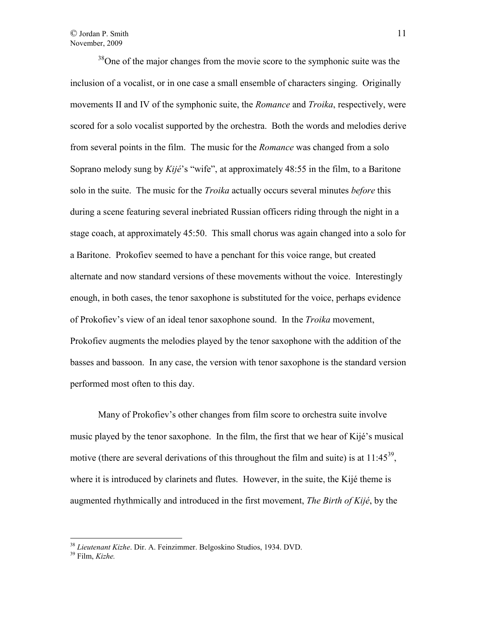## © Jordan P. Smith November, 2009

 $38$ One of the major changes from the movie score to the symphonic suite was the inclusion of a vocalist, or in one case a small ensemble of characters singing. Originally movements II and IV of the symphonic suite, the *Romance* and *Troika*, respectively, were scored for a solo vocalist supported by the orchestra. Both the words and melodies derive from several points in the film. The music for the *Romance* was changed from a solo Soprano melody sung by *Kijé*'s "wife", at approximately 48:55 in the film, to a Baritone solo in the suite. The music for the *Troika* actually occurs several minutes *before* this during a scene featuring several inebriated Russian officers riding through the night in a stage coach, at approximately 45:50. This small chorus was again changed into a solo for a Baritone. Prokofiev seemed to have a penchant for this voice range, but created alternate and now standard versions of these movements without the voice. Interestingly enough, in both cases, the tenor saxophone is substituted for the voice, perhaps evidence of Prokofiev's view of an ideal tenor saxophone sound. In the *Troika* movement, Prokofiev augments the melodies played by the tenor saxophone with the addition of the basses and bassoon. In any case, the version with tenor saxophone is the standard version performed most often to this day.

 Many of Prokofiev's other changes from film score to orchestra suite involve music played by the tenor saxophone. In the film, the first that we hear of Kijé's musical motive (there are several derivations of this throughout the film and suite) is at  $11:45^{39}$ , where it is introduced by clarinets and flutes. However, in the suite, the Kijé theme is augmented rhythmically and introduced in the first movement, *The Birth of Kijé*, by the

<sup>38</sup> *Lieutenant Kizhe*. Dir. A. Feinzimmer. Belgoskino Studios, 1934. DVD.

<sup>39</sup> Film, *Kizhe.*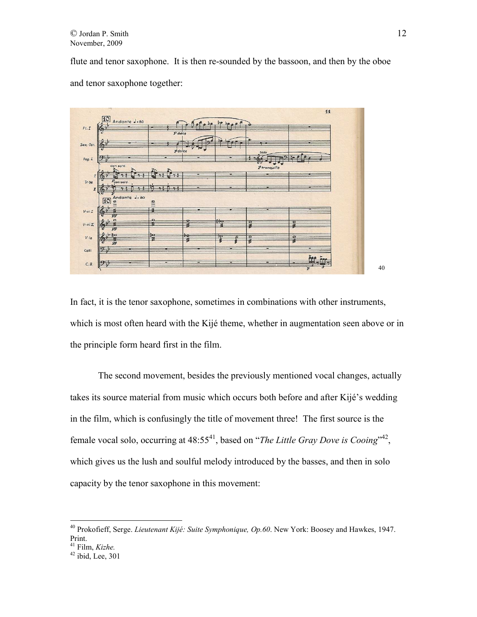flute and tenor saxophone. It is then re-sounded by the bassoon, and then by the oboe and tenor saxophone together:



In fact, it is the tenor saxophone, sometimes in combinations with other instruments, which is most often heard with the Kijé theme, whether in augmentation seen above or in the principle form heard first in the film.

 The second movement, besides the previously mentioned vocal changes, actually takes its source material from music which occurs both before and after Kijé's wedding in the film, which is confusingly the title of movement three! The first source is the female vocal solo, occurring at 48:55<sup>41</sup>, based on "*The Little Gray Dove is Cooing*"<sup>42</sup>, which gives us the lush and soulful melody introduced by the basses, and then in solo capacity by the tenor saxophone in this movement:

<sup>40</sup> Prokofieff, Serge. *Lieutenant Kijé: Suite Symphonique, Op.60*. New York: Boosey and Hawkes, 1947. Print.

<sup>41</sup> Film, *Kizhe.*

 $42$  ibid, Lee, 301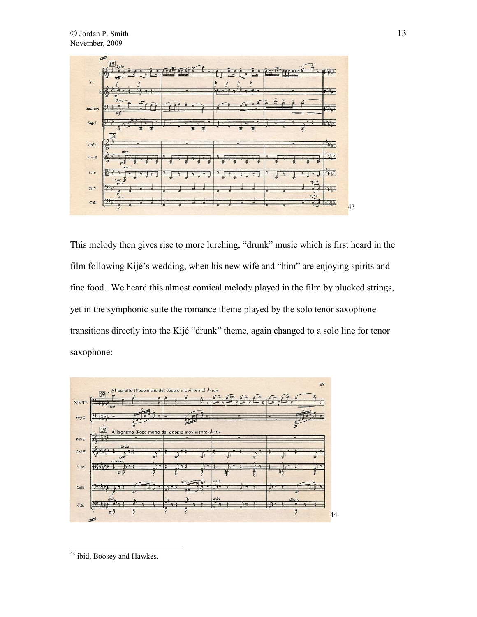

This melody then gives rise to more lurching, "drunk" music which is first heard in the film following Kijé's wedding, when his new wife and "him" are enjoying spirits and fine food. We heard this almost comical melody played in the film by plucked strings, yet in the symphonic suite the romance theme played by the solo tenor saxophone transitions directly into the Kijé "drunk" theme, again changed to a solo line for tenor saxophone:



 $\overline{a}$ <sup>43</sup> ibid, Boosey and Hawkes.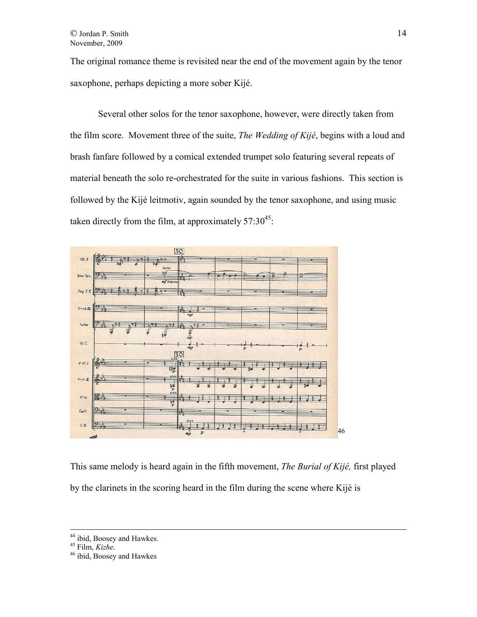The original romance theme is revisited near the end of the movement again by the tenor saxophone, perhaps depicting a more sober Kijé.

 Several other solos for the tenor saxophone, however, were directly taken from the film score. Movement three of the suite, *The Wedding of Kijé*, begins with a loud and brash fanfare followed by a comical extended trumpet solo featuring several repeats of material beneath the solo re-orchestrated for the suite in various fashions. This section is followed by the Kijé leitmotiv, again sounded by the tenor saxophone, and using music taken directly from the film, at approximately  $57:30^{45}$ .



This same melody is heard again in the fifth movement, *The Burial of Kijé,* first played by the clarinets in the scoring heard in the film during the scene where Kijé is

<sup>&</sup>lt;sup>44</sup> ibid, Boosey and Hawkes.

<sup>45</sup> Film, *Kizhe*.

<sup>46</sup> ibid, Boosey and Hawkes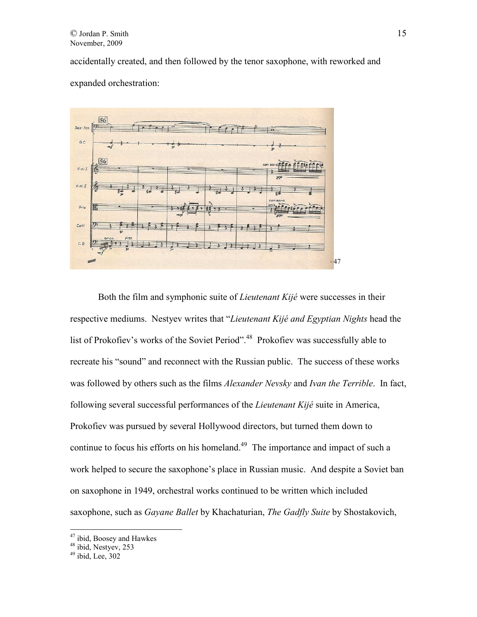accidentally created, and then followed by the tenor saxophone, with reworked and expanded orchestration:



Both the film and symphonic suite of *Lieutenant Kijé* were successes in their respective mediums. Nestyev writes that "*Lieutenant Kijé and Egyptian Nights* head the list of Prokofiev's works of the Soviet Period".<sup>48</sup> Prokofiev was successfully able to recreate his "sound" and reconnect with the Russian public. The success of these works was followed by others such as the films *Alexander Nevsky* and *Ivan the Terrible*. In fact, following several successful performances of the *Lieutenant Kijé* suite in America, Prokofiev was pursued by several Hollywood directors, but turned them down to continue to focus his efforts on his homeland.<sup>49</sup> The importance and impact of such a work helped to secure the saxophone's place in Russian music. And despite a Soviet ban on saxophone in 1949, orchestral works continued to be written which included saxophone, such as *Gayane Ballet* by Khachaturian, *The Gadfly Suite* by Shostakovich,

<sup>&</sup>lt;sup>47</sup> ibid, Boosey and Hawkes

<sup>&</sup>lt;sup>48</sup> ibid, Nestyev, 253

 $49$  ibid, Lee,  $302$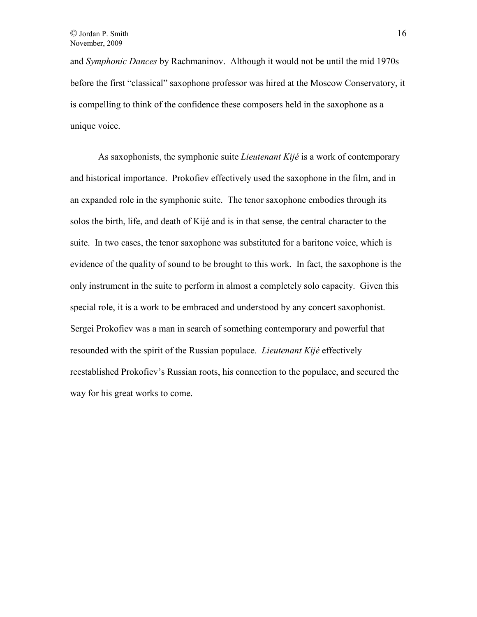and *Symphonic Dances* by Rachmaninov. Although it would not be until the mid 1970s before the first "classical" saxophone professor was hired at the Moscow Conservatory, it is compelling to think of the confidence these composers held in the saxophone as a unique voice.

 As saxophonists, the symphonic suite *Lieutenant Kijé* is a work of contemporary and historical importance. Prokofiev effectively used the saxophone in the film, and in an expanded role in the symphonic suite. The tenor saxophone embodies through its solos the birth, life, and death of Kijé and is in that sense, the central character to the suite. In two cases, the tenor saxophone was substituted for a baritone voice, which is evidence of the quality of sound to be brought to this work. In fact, the saxophone is the only instrument in the suite to perform in almost a completely solo capacity. Given this special role, it is a work to be embraced and understood by any concert saxophonist. Sergei Prokofiev was a man in search of something contemporary and powerful that resounded with the spirit of the Russian populace. *Lieutenant Kijé* effectively reestablished Prokofiev's Russian roots, his connection to the populace, and secured the way for his great works to come.